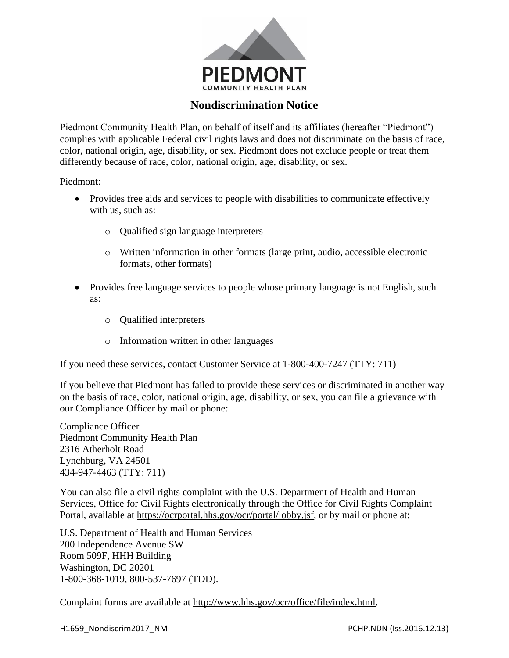

## **Nondiscrimination Notice**

Piedmont Community Health Plan, on behalf of itself and its affiliates (hereafter "Piedmont") complies with applicable Federal civil rights laws and does not discriminate on the basis of race, color, national origin, age, disability, or sex. Piedmont does not exclude people or treat them differently because of race, color, national origin, age, disability, or sex.

Piedmont:

- Provides free aids and services to people with disabilities to communicate effectively with us, such as:
	- o Qualified sign language interpreters
	- o Written information in other formats (large print, audio, accessible electronic formats, other formats)
- Provides free language services to people whose primary language is not English, such as:
	- o Qualified interpreters
	- o Information written in other languages

If you need these services, contact Customer Service at 1-800-400-7247 (TTY: 711)

If you believe that Piedmont has failed to provide these services or discriminated in another way on the basis of race, color, national origin, age, disability, or sex, you can file a grievance with our Compliance Officer by mail or phone:

Compliance Officer Piedmont Community Health Plan 2316 Atherholt Road Lynchburg, VA 24501 434-947-4463 (TTY: 711)

You can also file a civil rights complaint with the U.S. Department of Health and Human Services, Office for Civil Rights electronically through the Office for Civil Rights Complaint Portal, available at [https://ocrportal.hhs.gov/ocr/portal/lobby.jsf,](https://ocrportal.hhs.gov/ocr/portal/lobby.jsf) or by mail or phone at:

U.S. Department of Health and Human Services 200 Independence Avenue SW Room 509F, HHH Building Washington, DC 20201 1-800-368-1019, 800-537-7697 (TDD).

Complaint forms are available at [http://www.hhs.gov/ocr/office/file/index.html.](http://www.hhs.gov/ocr/office/file/index.html)